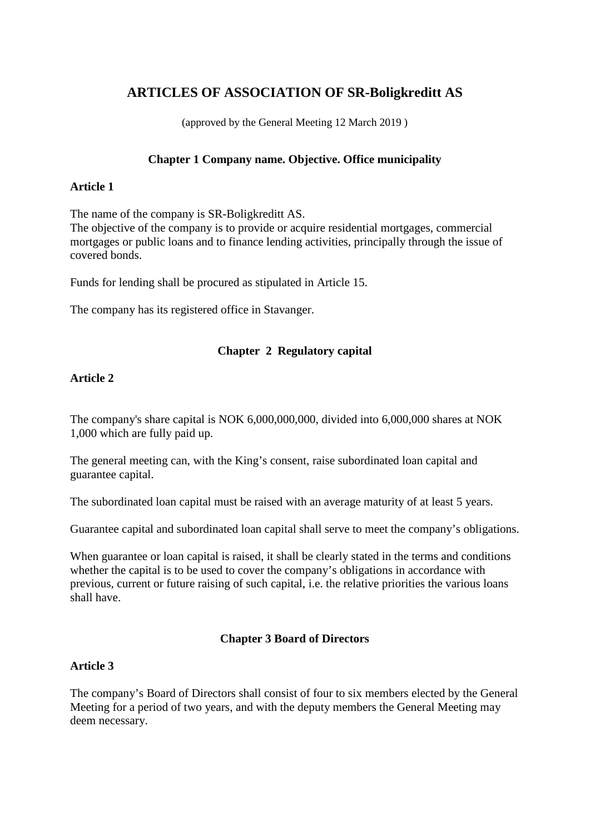# **ARTICLES OF ASSOCIATION OF SR-Boligkreditt AS**

(approved by the General Meeting 12 March 2019 )

### **Chapter 1 Company name. Objective. Office municipality**

#### **Article 1**

The name of the company is SR-Boligkreditt AS.

The objective of the company is to provide or acquire residential mortgages, commercial mortgages or public loans and to finance lending activities, principally through the issue of covered bonds.

Funds for lending shall be procured as stipulated in Article 15.

The company has its registered office in Stavanger.

## **Chapter 2 Regulatory capital**

## **Article 2**

The company's share capital is NOK 6,000,000,000, divided into 6,000,000 shares at NOK 1,000 which are fully paid up.

The general meeting can, with the King's consent, raise subordinated loan capital and guarantee capital.

The subordinated loan capital must be raised with an average maturity of at least 5 years.

Guarantee capital and subordinated loan capital shall serve to meet the company's obligations.

When guarantee or loan capital is raised, it shall be clearly stated in the terms and conditions whether the capital is to be used to cover the company's obligations in accordance with previous, current or future raising of such capital, i.e. the relative priorities the various loans shall have.

## **Chapter 3 Board of Directors**

#### **Article 3**

The company's Board of Directors shall consist of four to six members elected by the General Meeting for a period of two years, and with the deputy members the General Meeting may deem necessary.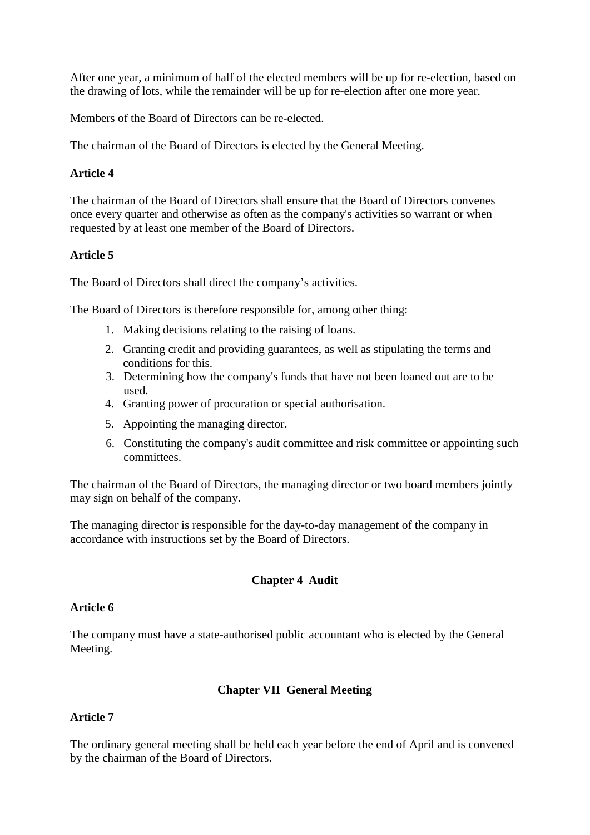After one year, a minimum of half of the elected members will be up for re-election, based on the drawing of lots, while the remainder will be up for re-election after one more year.

Members of the Board of Directors can be re-elected.

The chairman of the Board of Directors is elected by the General Meeting.

## **Article 4**

The chairman of the Board of Directors shall ensure that the Board of Directors convenes once every quarter and otherwise as often as the company's activities so warrant or when requested by at least one member of the Board of Directors.

## **Article 5**

The Board of Directors shall direct the company's activities.

The Board of Directors is therefore responsible for, among other thing:

- 1. Making decisions relating to the raising of loans.
- 2. Granting credit and providing guarantees, as well as stipulating the terms and conditions for this.
- 3. Determining how the company's funds that have not been loaned out are to be used.
- 4. Granting power of procuration or special authorisation.
- 5. Appointing the managing director.
- 6. Constituting the company's audit committee and risk committee or appointing such committees.

The chairman of the Board of Directors, the managing director or two board members jointly may sign on behalf of the company.

The managing director is responsible for the day-to-day management of the company in accordance with instructions set by the Board of Directors.

## **Chapter 4 Audit**

#### **Article 6**

The company must have a state-authorised public accountant who is elected by the General Meeting.

## **Chapter VII General Meeting**

## **Article 7**

The ordinary general meeting shall be held each year before the end of April and is convened by the chairman of the Board of Directors.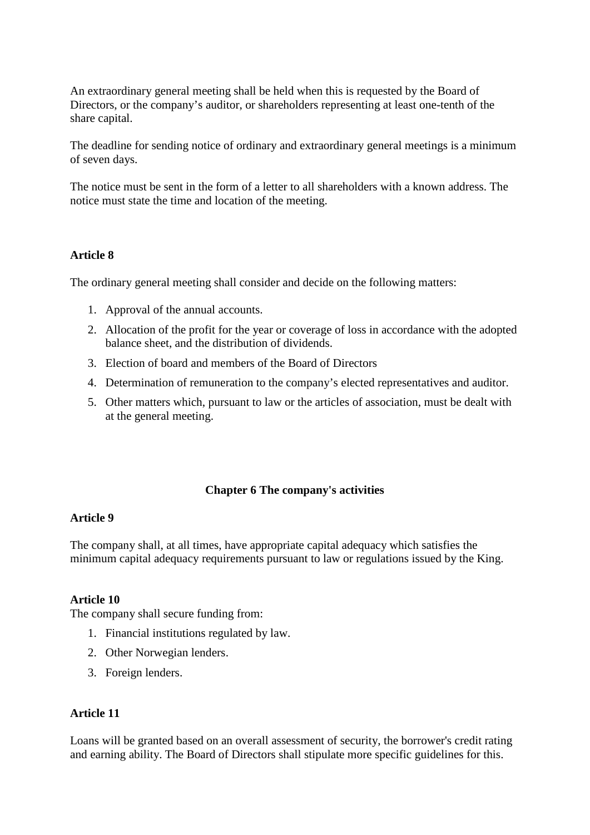An extraordinary general meeting shall be held when this is requested by the Board of Directors, or the company's auditor, or shareholders representing at least one-tenth of the share capital.

The deadline for sending notice of ordinary and extraordinary general meetings is a minimum of seven days.

The notice must be sent in the form of a letter to all shareholders with a known address. The notice must state the time and location of the meeting.

## **Article 8**

The ordinary general meeting shall consider and decide on the following matters:

- 1. Approval of the annual accounts.
- 2. Allocation of the profit for the year or coverage of loss in accordance with the adopted balance sheet, and the distribution of dividends.
- 3. Election of board and members of the Board of Directors
- 4. Determination of remuneration to the company's elected representatives and auditor.
- 5. Other matters which, pursuant to law or the articles of association, must be dealt with at the general meeting.

#### **Chapter 6 The company's activities**

#### **Article 9**

The company shall, at all times, have appropriate capital adequacy which satisfies the minimum capital adequacy requirements pursuant to law or regulations issued by the King.

#### **Article 10**

The company shall secure funding from:

- 1. Financial institutions regulated by law.
- 2. Other Norwegian lenders.
- 3. Foreign lenders.

#### **Article 11**

Loans will be granted based on an overall assessment of security, the borrower's credit rating and earning ability. The Board of Directors shall stipulate more specific guidelines for this.